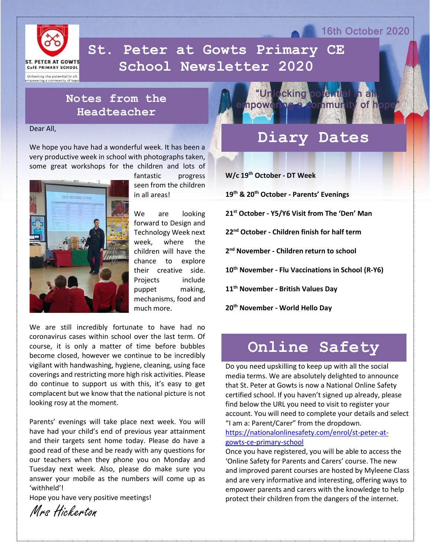

 **School Newsletter 2020St. Peter at Gowts Primary CE** 

# **Notes from the Headteacher**

Dear All,

We hope you have had a wonderful week. It has been a very productive week in school with photographs taken, some great workshops for the children and lots of



fantastic progress seen from the children in all areas!

We are looking forward to Design and Technology Week next week, where the children will have the chance to explore their creative side. Projects include puppet making, mechanisms, food and much more.

We are still incredibly fortunate to have had no coronavirus cases within school over the last term. Of course, it is only a matter of time before bubbles become closed, however we continue to be incredibly vigilant with handwashing, hygiene, cleaning, using face coverings and restricting more high risk activities. Please do continue to support us with this, it's easy to get complacent but we know that the national picture is not looking rosy at the moment.

Parents' evenings will take place next week. You will have had your child's end of previous year attainment and their targets sent home today. Please do have a good read of these and be ready with any questions for our teachers when they phone you on Monday and Tuesday next week. Also, please do make sure you answer your mobile as the numbers will come up as 'withheld'!

Hope you have very positive meetings!

Mrs Hickerton



# **Diary Dates**

16th October 2020

**W/c 19th October - DT Week**

**19th & 20th October - Parents' Evenings**

**21st October - Y5/Y6 Visit from The 'Den' Man** 

**22nd October - Children finish for half term**

**2 nd November - Children return to school**

**10th November - Flu Vaccinations in School (R-Y6)**

**11th November - British Values Day**

**20th November - World Hello Day**

# **Online Safety**

Do you need upskilling to keep up with all the social media terms. We are absolutely delighted to announce that St. Peter at Gowts is now a National Online Safety certified school. If you haven't signed up already, please find below the URL you need to visit to register your account. You will need to complete your details and select "I am a: Parent/Carer" from the dropdown.

[https://nationalonlinesafety.com/enrol/st-peter-at](https://nationalonlinesafety.com/enrol/st-peter-at-gowts-ce-primary-school)[gowts-ce-primary-school](https://nationalonlinesafety.com/enrol/st-peter-at-gowts-ce-primary-school)

Once you have registered, you will be able to access the 'Online Safety for Parents and Carers' course. The new and improved parent courses are hosted by Myleene Class and are very informative and interesting, offering ways to empower parents and carers with the knowledge to help protect their children from the dangers of the internet.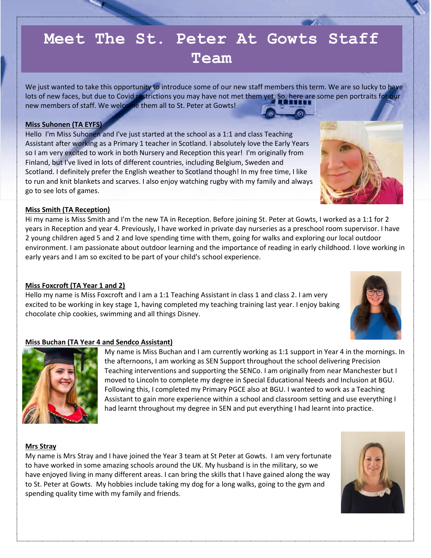# **Meet The St. Peter At Gowts Staff Team**

We just wanted to take this opportunity to introduce some of our new staff members this term. We are so lucky to have lots of new faces, but due to Covid restrictions you may have not met them yet. So, here are some pen portraits for our new members of staff. We welcome them all to St. Peter at Gowts!

## **Miss Suhonen (TA EYFS)**

Hello I'm Miss Suhonen and I've just started at the school as a 1:1 and class Teaching Assistant after working as a Primary 1 teacher in Scotland. I absolutely love the Early Years so I am very excited to work in both Nursery and Reception this year! I'm originally from Finland, but I've lived in lots of different countries, including Belgium, Sweden and Scotland. I definitely prefer the English weather to Scotland though! In my free time, I like to run and knit blankets and scarves. I also enjoy watching rugby with my family and always go to see lots of games.

# **Miss Smith (TA Reception)**

Hi my name is Miss Smith and I'm the new TA in Reception. Before joining St. Peter at Gowts, I worked as a 1:1 for 2 years in Reception and year 4. Previously, I have worked in private day nurseries as a preschool room supervisor. I have 2 young children aged 5 and 2 and love spending time with them, going for walks and exploring our local outdoor environment. I am passionate about outdoor learning and the importance of reading in early childhood. I love working in early years and I am so excited to be part of your child's school experience.

# **Miss Foxcroft (TA Year 1 and 2)**

Hello my name is Miss Foxcroft and I am a 1:1 Teaching Assistant in class 1 and class 2. I am very excited to be working in key stage 1, having completed my teaching training last year. I enjoy baking chocolate chip cookies, swimming and all things Disney.

# **Miss Buchan (TA Year 4 and Sendco Assistant)**

My name is Miss Buchan and I am currently working as 1:1 support in Year 4 in the mornings. In the afternoons, I am working as SEN Support throughout the school delivering Precision Teaching interventions and supporting the SENCo. I am originally from near Manchester but I moved to Lincoln to complete my degree in Special Educational Needs and Inclusion at BGU. Following this, I completed my Primary PGCE also at BGU. I wanted to work as a Teaching Assistant to gain more experience within a school and classroom setting and use everything I had learnt throughout my degree in SEN and put everything I had learnt into practice.

### **Mrs Stray**

My name is Mrs Stray and I have joined the Year 3 team at St Peter at Gowts. I am very fortunate to have worked in some amazing schools around the UK. My husband is in the military, so we have enjoyed living in many different areas. I can bring the skills that I have gained along the way to St. Peter at Gowts. My hobbies include taking my dog for a long walks, going to the gym and spending quality time with my family and friends.